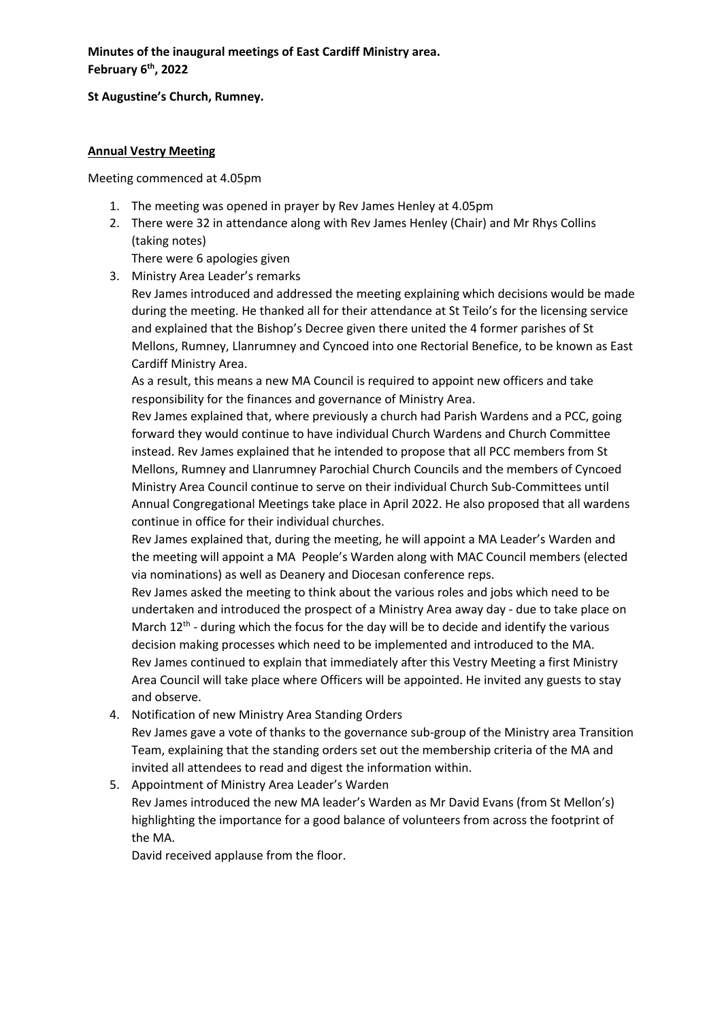**Minutes of the inaugural meetings of East Cardiff Ministry area. February 6th, 2022**

**St Augustine's Church, Rumney.**

## **Annual Vestry Meeting**

Meeting commenced at 4.05pm

- 1. The meeting was opened in prayer by Rev James Henley at 4.05pm
- 2. There were 32 in attendance along with Rev James Henley (Chair) and Mr Rhys Collins (taking notes)

There were 6 apologies given

3. Ministry Area Leader's remarks

Rev James introduced and addressed the meeting explaining which decisions would be made during the meeting. He thanked all for their attendance at St Teilo's for the licensing service and explained that the Bishop's Decree given there united the 4 former parishes of St Mellons, Rumney, Llanrumney and Cyncoed into one Rectorial Benefice, to be known as East Cardiff Ministry Area.

As a result, this means a new MA Council is required to appoint new officers and take responsibility for the finances and governance of Ministry Area.

Rev James explained that, where previously a church had Parish Wardens and a PCC, going forward they would continue to have individual Church Wardens and Church Committee instead. Rev James explained that he intended to propose that all PCC members from St Mellons, Rumney and Llanrumney Parochial Church Councils and the members of Cyncoed Ministry Area Council continue to serve on their individual Church Sub-Committees until Annual Congregational Meetings take place in April 2022. He also proposed that all wardens continue in office for their individual churches.

Rev James explained that, during the meeting, he will appoint a MA Leader's Warden and the meeting will appoint a MA People's Warden along with MAC Council members (elected via nominations) as well as Deanery and Diocesan conference reps.

Rev James asked the meeting to think about the various roles and jobs which need to be undertaken and introduced the prospect of a Ministry Area away day - due to take place on March  $12<sup>th</sup>$  - during which the focus for the day will be to decide and identify the various decision making processes which need to be implemented and introduced to the MA. Rev James continued to explain that immediately after this Vestry Meeting a first Ministry Area Council will take place where Officers will be appointed. He invited any guests to stay and observe.

- 4. Notification of new Ministry Area Standing Orders Rev James gave a vote of thanks to the governance sub-group of the Ministry area Transition Team, explaining that the standing orders set out the membership criteria of the MA and invited all attendees to read and digest the information within.
- 5. Appointment of Ministry Area Leader's Warden

Rev James introduced the new MA leader's Warden as Mr David Evans (from St Mellon's) highlighting the importance for a good balance of volunteers from across the footprint of the MA.

David received applause from the floor.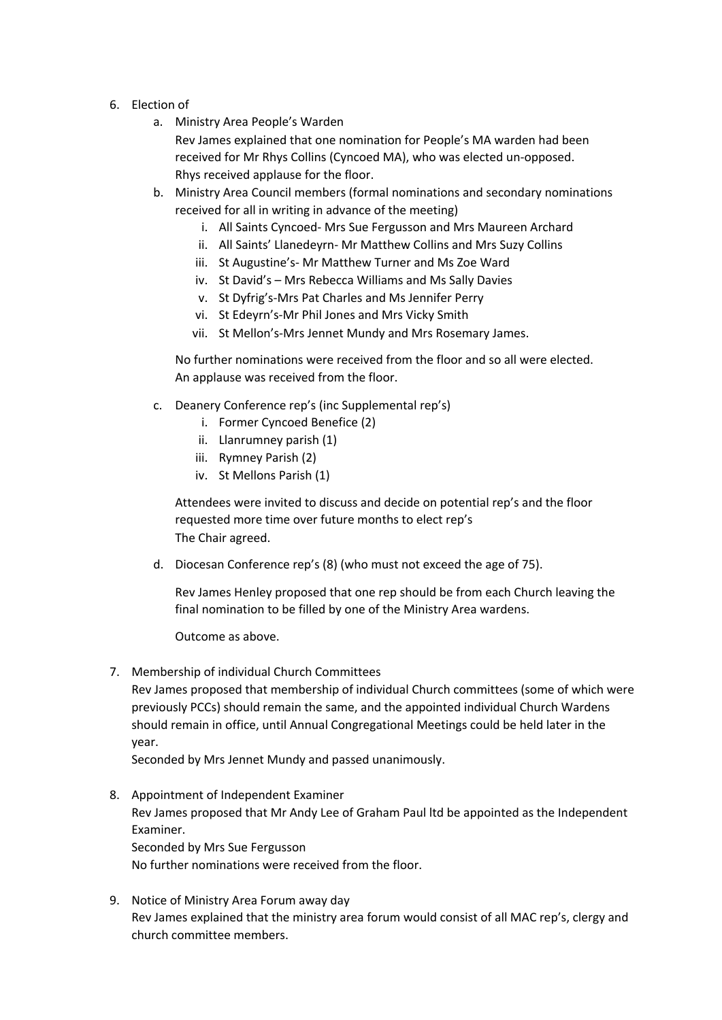- 6. Election of
	- a. Ministry Area People's Warden

Rev James explained that one nomination for People's MA warden had been received for Mr Rhys Collins (Cyncoed MA), who was elected un-opposed. Rhys received applause for the floor.

- b. Ministry Area Council members (formal nominations and secondary nominations received for all in writing in advance of the meeting)
	- i. All Saints Cyncoed- Mrs Sue Fergusson and Mrs Maureen Archard
	- ii. All Saints' Llanedeyrn- Mr Matthew Collins and Mrs Suzy Collins
	- iii. St Augustine's- Mr Matthew Turner and Ms Zoe Ward
	- iv. St David's Mrs Rebecca Williams and Ms Sally Davies
	- v. St Dyfrig's-Mrs Pat Charles and Ms Jennifer Perry
	- vi. St Edeyrn's-Mr Phil Jones and Mrs Vicky Smith
	- vii. St Mellon's-Mrs Jennet Mundy and Mrs Rosemary James.

No further nominations were received from the floor and so all were elected. An applause was received from the floor.

- c. Deanery Conference rep's (inc Supplemental rep's)
	- i. Former Cyncoed Benefice (2)
	- ii. Llanrumney parish (1)
	- iii. Rymney Parish (2)
	- iv. St Mellons Parish (1)

Attendees were invited to discuss and decide on potential rep's and the floor requested more time over future months to elect rep's The Chair agreed.

d. Diocesan Conference rep's (8) (who must not exceed the age of 75).

Rev James Henley proposed that one rep should be from each Church leaving the final nomination to be filled by one of the Ministry Area wardens.

Outcome as above.

7. Membership of individual Church Committees

Rev James proposed that membership of individual Church committees (some of which were previously PCCs) should remain the same, and the appointed individual Church Wardens should remain in office, until Annual Congregational Meetings could be held later in the year.

Seconded by Mrs Jennet Mundy and passed unanimously.

- 8. Appointment of Independent Examiner Rev James proposed that Mr Andy Lee of Graham Paul ltd be appointed as the Independent Examiner. Seconded by Mrs Sue Fergusson No further nominations were received from the floor.
- 9. Notice of Ministry Area Forum away day Rev James explained that the ministry area forum would consist of all MAC rep's, clergy and church committee members.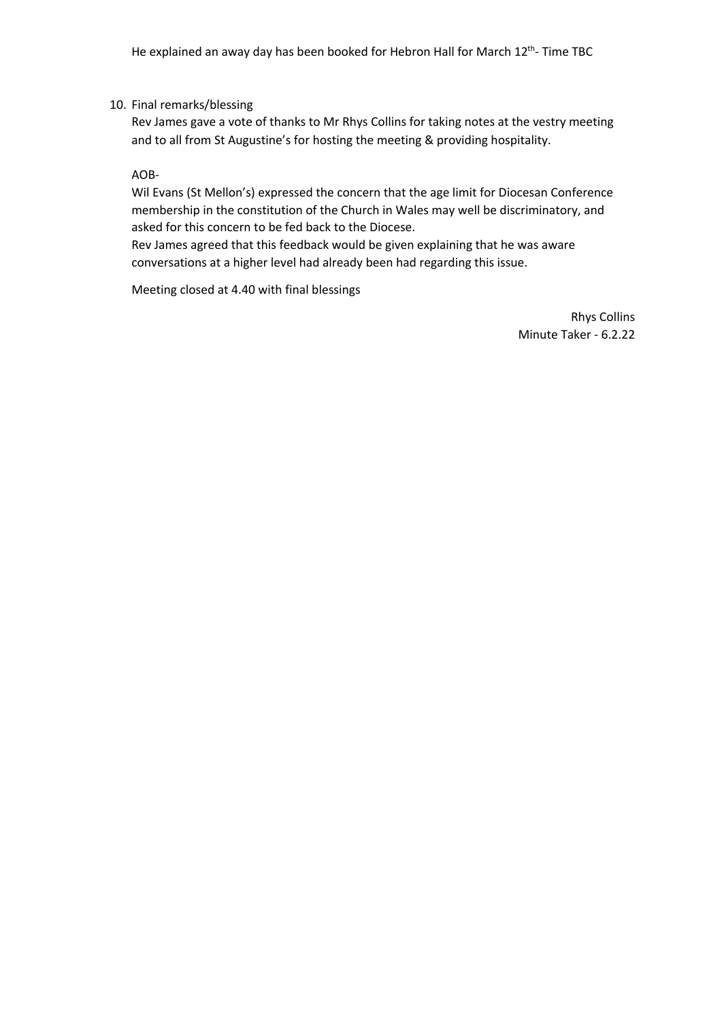## 10. Final remarks/blessing

Rev James gave a vote of thanks to Mr Rhys Collins for taking notes at the vestry meeting and to all from St Augustine's for hosting the meeting & providing hospitality.

AOB-

Wil Evans (St Mellon's) expressed the concern that the age limit for Diocesan Conference membership in the constitution of the Church in Wales may well be discriminatory, and asked for this concern to be fed back to the Diocese.

Rev James agreed that this feedback would be given explaining that he was aware conversations at a higher level had already been had regarding this issue.

Meeting closed at 4.40 with final blessings

Rhys Collins Minute Taker - 6.2.22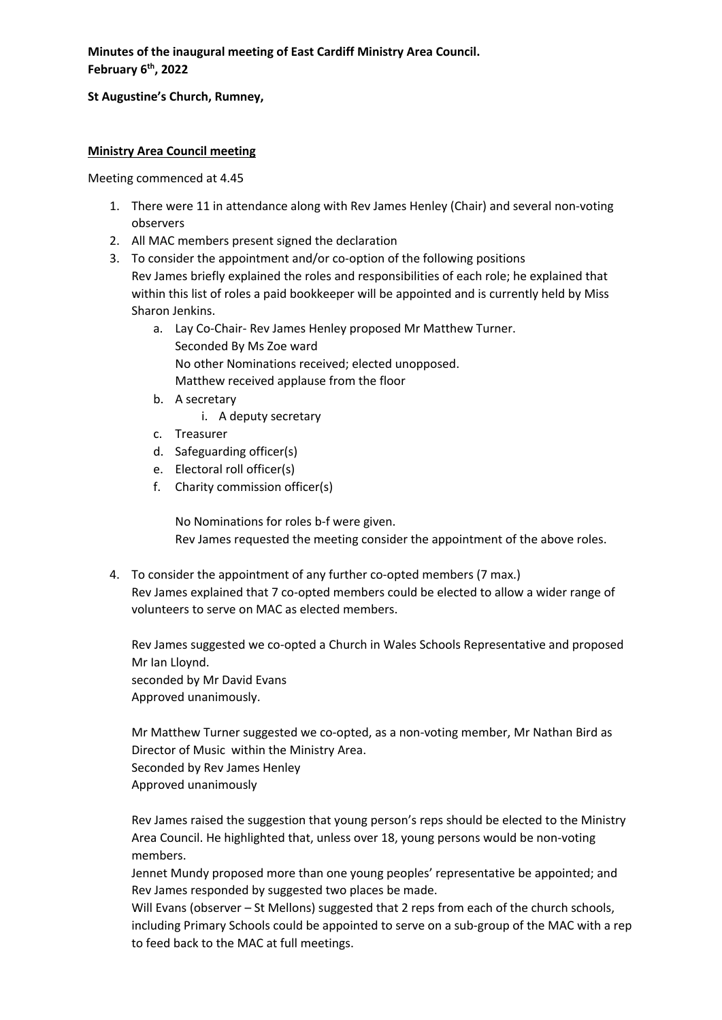**Minutes of the inaugural meeting of East Cardiff Ministry Area Council. February 6th, 2022**

## **St Augustine's Church, Rumney,**

## **Ministry Area Council meeting**

Meeting commenced at 4.45

- 1. There were 11 in attendance along with Rev James Henley (Chair) and several non-voting observers
- 2. All MAC members present signed the declaration
- 3. To consider the appointment and/or co-option of the following positions Rev James briefly explained the roles and responsibilities of each role; he explained that within this list of roles a paid bookkeeper will be appointed and is currently held by Miss Sharon Jenkins.
	- a. Lay Co-Chair- Rev James Henley proposed Mr Matthew Turner. Seconded By Ms Zoe ward No other Nominations received; elected unopposed. Matthew received applause from the floor
	- b. A secretary
		- i. A deputy secretary
	- c. Treasurer
	- d. Safeguarding officer(s)
	- e. Electoral roll officer(s)
	- f. Charity commission officer(s)

No Nominations for roles b-f were given.

Rev James requested the meeting consider the appointment of the above roles.

4. To consider the appointment of any further co-opted members (7 max.) Rev James explained that 7 co-opted members could be elected to allow a wider range of volunteers to serve on MAC as elected members.

Rev James suggested we co-opted a Church in Wales Schools Representative and proposed Mr Ian Lloynd. seconded by Mr David Evans

Approved unanimously.

Mr Matthew Turner suggested we co-opted, as a non-voting member, Mr Nathan Bird as Director of Music within the Ministry Area.

Seconded by Rev James Henley

Approved unanimously

Rev James raised the suggestion that young person's reps should be elected to the Ministry Area Council. He highlighted that, unless over 18, young persons would be non-voting members.

Jennet Mundy proposed more than one young peoples' representative be appointed; and Rev James responded by suggested two places be made.

Will Evans (observer – St Mellons) suggested that 2 reps from each of the church schools, including Primary Schools could be appointed to serve on a sub-group of the MAC with a rep to feed back to the MAC at full meetings.